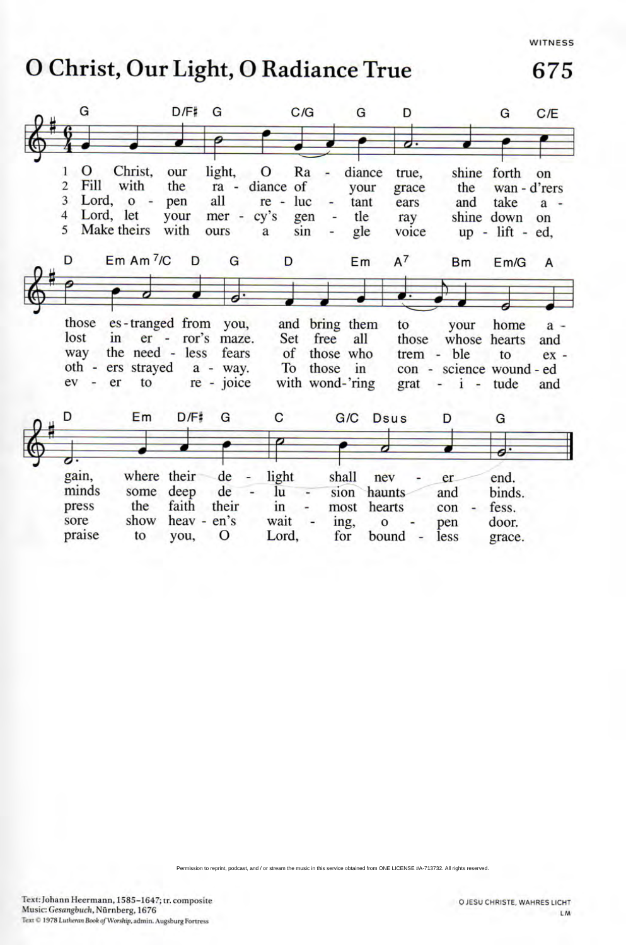## **WITNESS**

## O Christ, Our Light, O Radiance True 675

G D/F#G C/G G D G C/E <sup>J</sup>*<sup>m</sup>* \* r<sup>I</sup> *a- m*J • F r i\*  $6\frac{6}{4}$ •  $\frac{6}{7}$   $\frac{6}{4}$   $\frac{1}{8}$ P ! J  $\frac{1}{2}$  1  $\frac{1}{2}$  1  $\frac{1}{2}$  1  $\frac{1}{2}$  1  $\frac{1}{2}$  1  $\frac{1}{2}$  1  $\frac{1}{2}$  1  $\frac{1}{2}$  1  $\frac{1}{2}$  1  $\frac{1}{2}$  1  $\frac{1}{2}$  1  $\frac{1}{2}$  1  $\frac{1}{2}$  1  $\frac{1}{2}$  1  $\frac{1}{2}$  1  $\frac{1}{2}$  1  $\frac{1}{2}$  1  $\frac{1}{2}$  1  $\frac{1$ 1 1 1 O Christ, our light, O Ra - diance true, shine forth on 2 Fill with the ra - diance of your grace the wan - d'rers all re - luc - tant ears and take a - 3 Lord, o - pen all re - luc - tant ears and take a<br>mer - cy's gen - tle ray shine down on 4 Lord, let your 5 Make theirs with ours a sin - gle voice up - lift - ed, D Em Am<sup>7</sup>/C D G D Em A<sup>7</sup> Bm Em/G A  $8^{\circ}$   $\circ$   $\circ$ *n "* \*  $\overline{\phantom{a}}$ i r <sup>i</sup> \*• *\* <sup>f</sup>o • mm* J J *m<sup>9</sup>* i in the control of the control of the  $\frac{y}{y}$  in the set of  $\frac{1}{y}$ those es-tranged from you, and bring them to your home a lost in er - ror's maze. Set free all those whose hearts and way the need - less fears of those who trem - ble  $\cot$  ex oth - ers strayed a - way. To those in con - science wound - ed *QV -* er to re - joice with wond-'ring  $grad - i$ tude and D Em D/F# G G/C Dsus G  $6 +$ • *o IX*• r r J *a*  $^{\prime}$ ø i<br>1 gain, where their de - light<br>de - lu shall nev er end. some deep minds de sion haunts and binds. press the faith their m most hearts con - fess. sore show heav - en's wait mg, Ξ  $\mathbf{o}$ pen door. praise to you, O Lord, for bound less grace.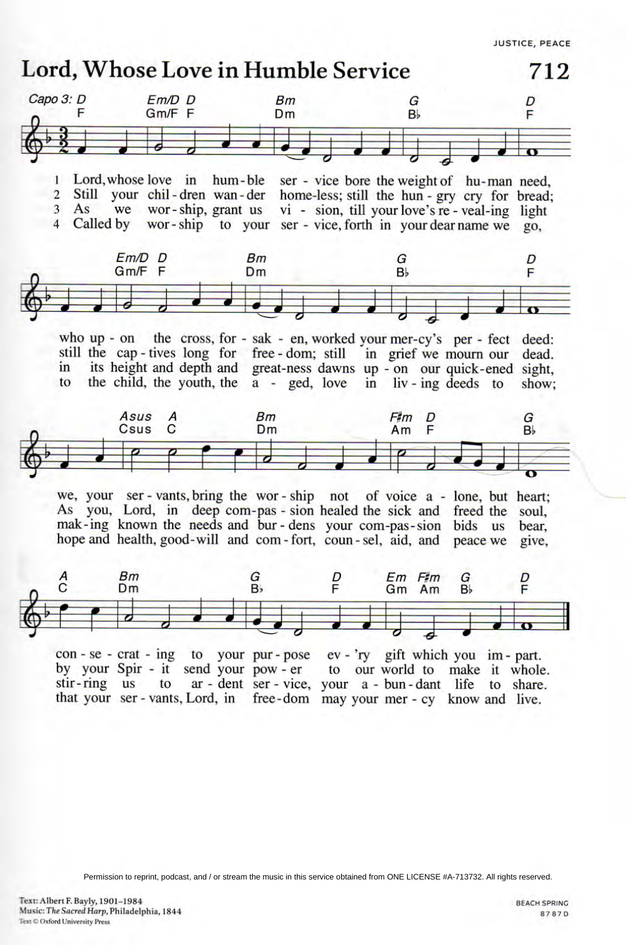JUSTICE, PEACE



Permission to reprint, podcast, and / or stream the music in this service obtained from ONE LICENSE #A-713732. All rights reserved.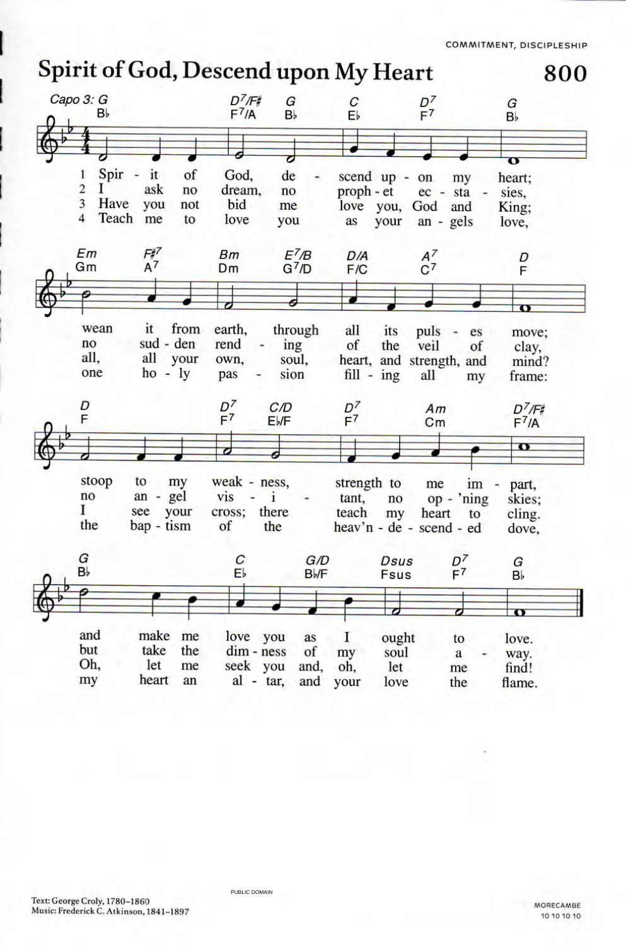COMMITMENT, DISCIPLESHIP



Text: George Croly, 1780-1860 Music: Frederick C. Atkinson, 1841-1897 PUBLIC DOMAIN

MORECAMBE 10 10 10 10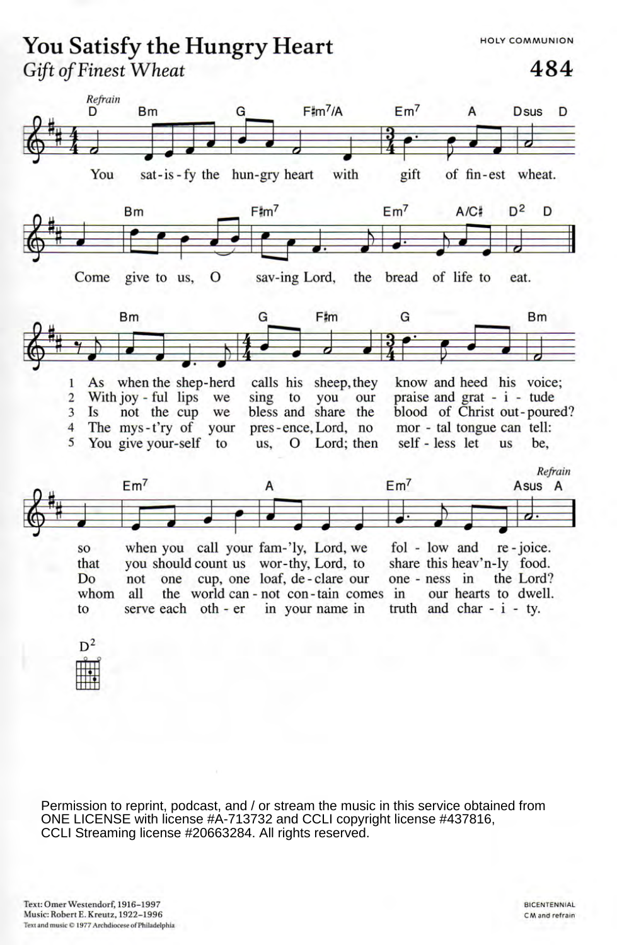

Permission to reprint, podcast, and / or stream the music in this service obtained from ONE LICENSE with license #A-713732 and CCLI copyright license #437816, CCLI Streaming license #20663284. All rights reserved.

cup, one loaf, de-clare our

the world can - not con-tain comes in

in your name in

one - ness in

the Lord?

our hearts to dwell.

truth and char -  $i$  - ty.

Do

to

 $D^2$ 

whom

not

all

one

serve each oth - er

**HOLY COMMUNION** 

**Gift of Finest Wheat** 

You Satisfy the Hungry Heart